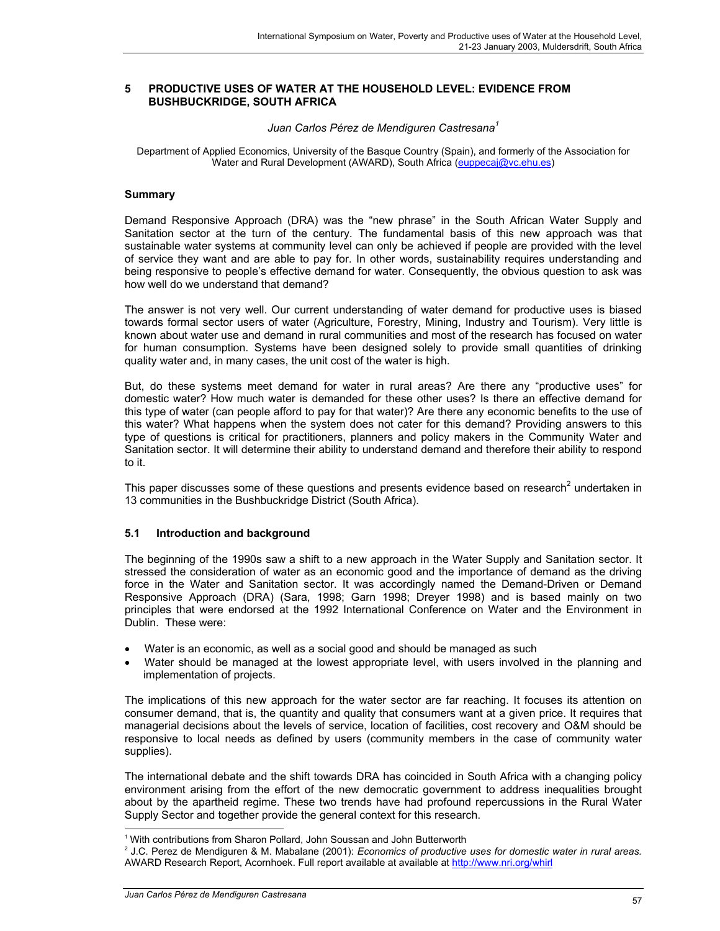### **5 PRODUCTIVE USES OF WATER AT THE HOUSEHOLD LEVEL: EVIDENCE FROM BUSHBUCKRIDGE, SOUTH AFRICA**

#### *Juan Carlos Pérez de Mendiguren Castresana<sup>1</sup>*

Department of Applied Economics, University of the Basque Country (Spain), and formerly of the Association for Water and Rural Development (AWARD), South Africa (euppecaj@vc.ehu.es)

### **Summary**

Demand Responsive Approach (DRA) was the "new phrase" in the South African Water Supply and Sanitation sector at the turn of the century. The fundamental basis of this new approach was that sustainable water systems at community level can only be achieved if people are provided with the level of service they want and are able to pay for. In other words, sustainability requires understanding and being responsive to people's effective demand for water. Consequently, the obvious question to ask was how well do we understand that demand?

The answer is not very well. Our current understanding of water demand for productive uses is biased towards formal sector users of water (Agriculture, Forestry, Mining, Industry and Tourism). Very little is known about water use and demand in rural communities and most of the research has focused on water for human consumption. Systems have been designed solely to provide small quantities of drinking quality water and, in many cases, the unit cost of the water is high.

But, do these systems meet demand for water in rural areas? Are there any "productive uses" for domestic water? How much water is demanded for these other uses? Is there an effective demand for this type of water (can people afford to pay for that water)? Are there any economic benefits to the use of this water? What happens when the system does not cater for this demand? Providing answers to this type of questions is critical for practitioners, planners and policy makers in the Community Water and Sanitation sector. It will determine their ability to understand demand and therefore their ability to respond to it.

This paper discusses some of these questions and presents evidence based on research<sup>2</sup> undertaken in 13 communities in the Bushbuckridge District (South Africa).

## **5.1 Introduction and background**

The beginning of the 1990s saw a shift to a new approach in the Water Supply and Sanitation sector. It stressed the consideration of water as an economic good and the importance of demand as the driving force in the Water and Sanitation sector. It was accordingly named the Demand-Driven or Demand Responsive Approach (DRA) (Sara, 1998; Garn 1998; Dreyer 1998) and is based mainly on two principles that were endorsed at the 1992 International Conference on Water and the Environment in Dublin. These were:

- Water is an economic, as well as a social good and should be managed as such
- Water should be managed at the lowest appropriate level, with users involved in the planning and implementation of projects.

The implications of this new approach for the water sector are far reaching. It focuses its attention on consumer demand, that is, the quantity and quality that consumers want at a given price. It requires that managerial decisions about the levels of service, location of facilities, cost recovery and O&M should be responsive to local needs as defined by users (community members in the case of community water supplies).

The international debate and the shift towards DRA has coincided in South Africa with a changing policy environment arising from the effort of the new democratic government to address inequalities brought about by the apartheid regime. These two trends have had profound repercussions in the Rural Water Supply Sector and together provide the general context for this research.

 $\overline{a}$ 

<sup>&</sup>lt;sup>1</sup> With contributions from Sharon Pollard, John Soussan and John Butterworth

<sup>2</sup> J.C. Perez de Mendiguren & M. Mabalane (2001): *Economics of productive uses for domestic water in rural areas.* AWARD Research Report, Acornhoek. Full report available at available at http://www.nri.org/whirl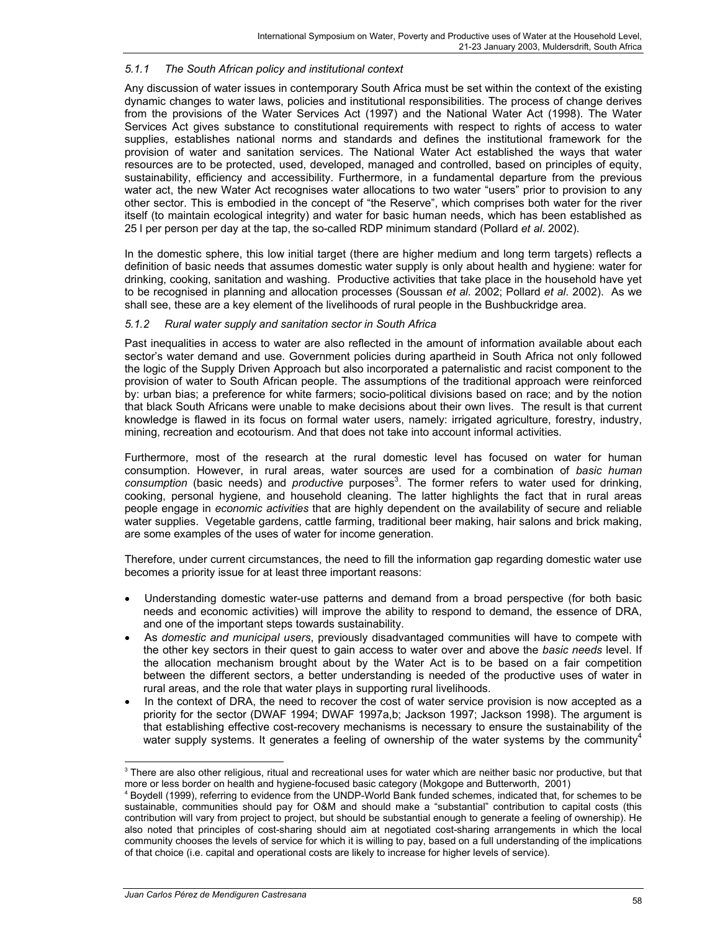## *5.1.1 The South African policy and institutional context*

Any discussion of water issues in contemporary South Africa must be set within the context of the existing dynamic changes to water laws, policies and institutional responsibilities. The process of change derives from the provisions of the Water Services Act (1997) and the National Water Act (1998). The Water Services Act gives substance to constitutional requirements with respect to rights of access to water supplies, establishes national norms and standards and defines the institutional framework for the provision of water and sanitation services. The National Water Act established the ways that water resources are to be protected, used, developed, managed and controlled, based on principles of equity, sustainability, efficiency and accessibility. Furthermore, in a fundamental departure from the previous water act, the new Water Act recognises water allocations to two water "users" prior to provision to any other sector. This is embodied in the concept of "the Reserve", which comprises both water for the river itself (to maintain ecological integrity) and water for basic human needs, which has been established as 25 l per person per day at the tap, the so-called RDP minimum standard (Pollard *et al*. 2002).

In the domestic sphere, this low initial target (there are higher medium and long term targets) reflects a definition of basic needs that assumes domestic water supply is only about health and hygiene: water for drinking, cooking, sanitation and washing. Productive activities that take place in the household have yet to be recognised in planning and allocation processes (Soussan *et al*. 2002; Pollard *et al*. 2002). As we shall see, these are a key element of the livelihoods of rural people in the Bushbuckridge area.

### *5.1.2 Rural water supply and sanitation sector in South Africa*

Past inequalities in access to water are also reflected in the amount of information available about each sector's water demand and use. Government policies during apartheid in South Africa not only followed the logic of the Supply Driven Approach but also incorporated a paternalistic and racist component to the provision of water to South African people. The assumptions of the traditional approach were reinforced by: urban bias; a preference for white farmers; socio-political divisions based on race; and by the notion that black South Africans were unable to make decisions about their own lives. The result is that current knowledge is flawed in its focus on formal water users, namely: irrigated agriculture, forestry, industry, mining, recreation and ecotourism. And that does not take into account informal activities.

Furthermore, most of the research at the rural domestic level has focused on water for human consumption. However, in rural areas, water sources are used for a combination of *basic human* consumption (basic needs) and *productive* purposes<sup>3</sup>. The former refers to water used for drinking, cooking, personal hygiene, and household cleaning. The latter highlights the fact that in rural areas people engage in *economic activities* that are highly dependent on the availability of secure and reliable water supplies. Vegetable gardens, cattle farming, traditional beer making, hair salons and brick making, are some examples of the uses of water for income generation.

Therefore, under current circumstances, the need to fill the information gap regarding domestic water use becomes a priority issue for at least three important reasons:

- Understanding domestic water-use patterns and demand from a broad perspective (for both basic needs and economic activities) will improve the ability to respond to demand, the essence of DRA, and one of the important steps towards sustainability.
- As *domestic and municipal users*, previously disadvantaged communities will have to compete with the other key sectors in their quest to gain access to water over and above the *basic needs* level. If the allocation mechanism brought about by the Water Act is to be based on a fair competition between the different sectors, a better understanding is needed of the productive uses of water in rural areas, and the role that water plays in supporting rural livelihoods.
- In the context of DRA, the need to recover the cost of water service provision is now accepted as a priority for the sector (DWAF 1994; DWAF 1997a,b; Jackson 1997; Jackson 1998). The argument is that establishing effective cost-recovery mechanisms is necessary to ensure the sustainability of the water supply systems. It generates a feeling of ownership of the water systems by the community<sup>4</sup>

 $\overline{a}$  $3$  There are also other religious, ritual and recreational uses for water which are neither basic nor productive, but that more or less border on health and hygiene-focused basic category (Mokgope and Butterworth, 2001)

<sup>4</sup> Boydell (1999), referring to evidence from the UNDP-World Bank funded schemes, indicated that, for schemes to be sustainable, communities should pay for O&M and should make a "substantial" contribution to capital costs (this contribution will vary from project to project, but should be substantial enough to generate a feeling of ownership). He also noted that principles of cost-sharing should aim at negotiated cost-sharing arrangements in which the local community chooses the levels of service for which it is willing to pay, based on a full understanding of the implications of that choice (i.e. capital and operational costs are likely to increase for higher levels of service).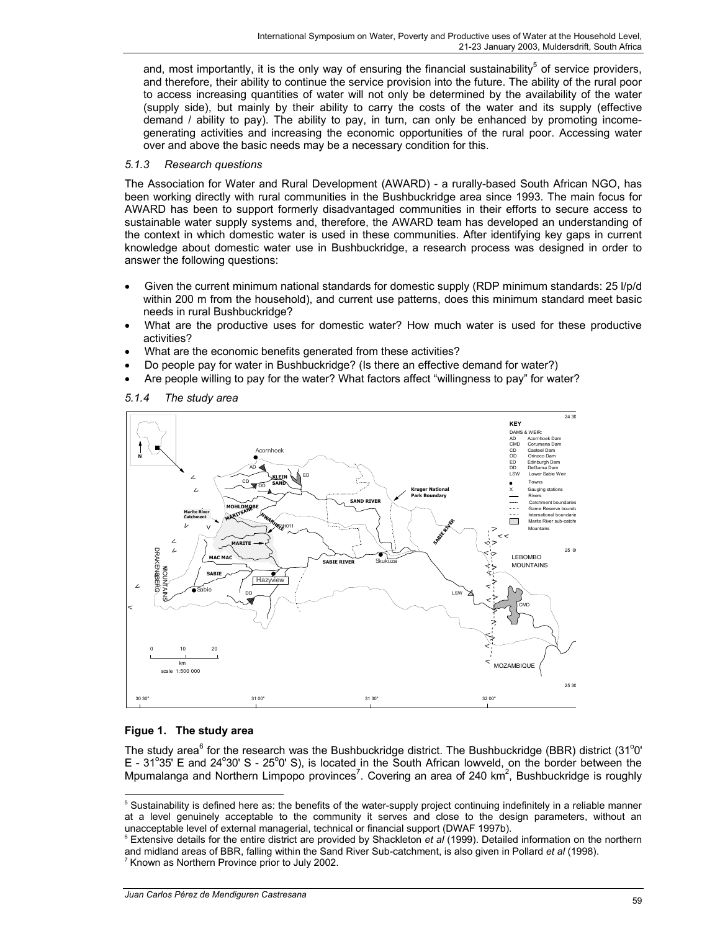and, most importantly, it is the only way of ensuring the financial sustainability<sup>5</sup> of service providers, and therefore, their ability to continue the service provision into the future. The ability of the rural poor to access increasing quantities of water will not only be determined by the availability of the water (supply side), but mainly by their ability to carry the costs of the water and its supply (effective demand / ability to pay). The ability to pay, in turn, can only be enhanced by promoting incomegenerating activities and increasing the economic opportunities of the rural poor. Accessing water over and above the basic needs may be a necessary condition for this.

## *5.1.3 Research questions*

The Association for Water and Rural Development (AWARD) - a rurally-based South African NGO, has been working directly with rural communities in the Bushbuckridge area since 1993. The main focus for AWARD has been to support formerly disadvantaged communities in their efforts to secure access to sustainable water supply systems and, therefore, the AWARD team has developed an understanding of the context in which domestic water is used in these communities. After identifying key gaps in current knowledge about domestic water use in Bushbuckridge, a research process was designed in order to answer the following questions:

- Given the current minimum national standards for domestic supply (RDP minimum standards: 25 l/p/d within 200 m from the household), and current use patterns, does this minimum standard meet basic needs in rural Bushbuckridge?
- What are the productive uses for domestic water? How much water is used for these productive activities?
- What are the economic benefits generated from these activities?
- Do people pay for water in Bushbuckridge? (Is there an effective demand for water?)
- Are people willing to pay for the water? What factors affect "willingness to pay" for water?



### *5.1.4 The study area*

# **Figue 1. The study area**

 $\overline{a}$ 

The study area<sup>6</sup> for the research was the Bushbuckridge district. The Bushbuckridge (BBR) district (31<sup>o</sup>0'  $E - 31^{\circ}35'$  E and 24 $^{\circ}30'$  S - 25 $^{\circ}0'$  S), is located in the South African lowveld, on the border between the Mpumalanga and Northern Limpopo provinces<sup>7</sup>. Covering an area of 240 km<sup>2</sup>, Bushbuckridge is roughly

<sup>&</sup>lt;sup>5</sup> Sustainability is defined here as: the benefits of the water-supply project continuing indefinitely in a reliable manner at a level genuinely acceptable to the community it serves and close to the design parameters, without an unacceptable level of external managerial, technical or financial support (DWAF 1997b).

<sup>6</sup> Extensive details for the entire district are provided by Shackleton *et al* (1999). Detailed information on the northern and midland areas of BBR, falling within the Sand River Sub-catchment, is also given in Pollard *et al* (1998). <sup>7</sup> Known as Northern Province prior to July 2002.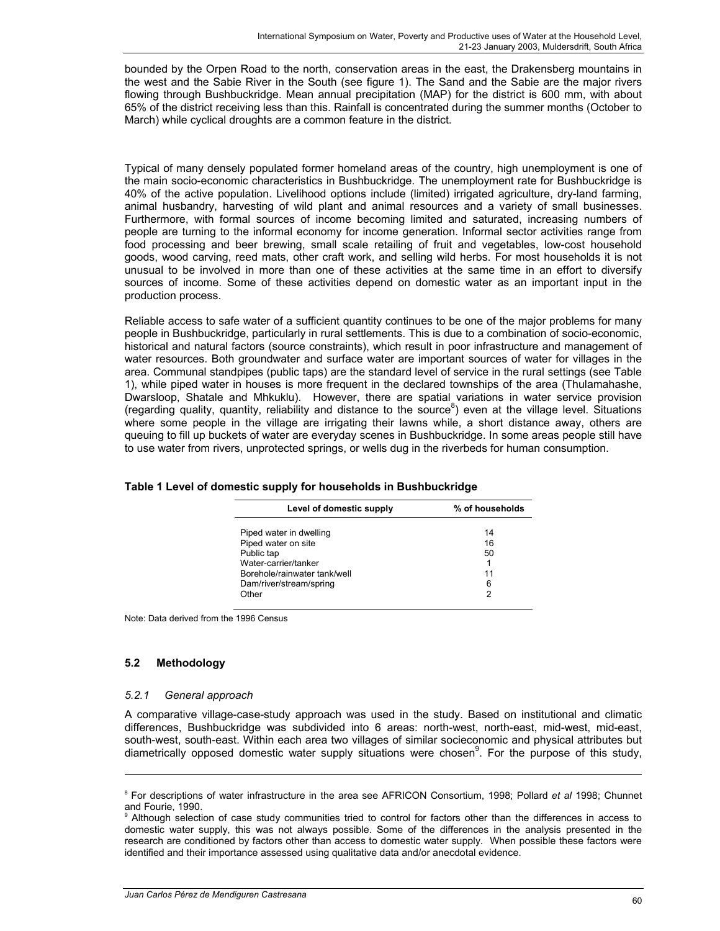bounded by the Orpen Road to the north, conservation areas in the east, the Drakensberg mountains in the west and the Sabie River in the South (see figure 1). The Sand and the Sabie are the major rivers flowing through Bushbuckridge. Mean annual precipitation (MAP) for the district is 600 mm, with about 65% of the district receiving less than this. Rainfall is concentrated during the summer months (October to March) while cyclical droughts are a common feature in the district.

Typical of many densely populated former homeland areas of the country, high unemployment is one of the main socio-economic characteristics in Bushbuckridge. The unemployment rate for Bushbuckridge is 40% of the active population. Livelihood options include (limited) irrigated agriculture, dry-land farming, animal husbandry, harvesting of wild plant and animal resources and a variety of small businesses. Furthermore, with formal sources of income becoming limited and saturated, increasing numbers of people are turning to the informal economy for income generation. Informal sector activities range from food processing and beer brewing, small scale retailing of fruit and vegetables, low-cost household goods, wood carving, reed mats, other craft work, and selling wild herbs. For most households it is not unusual to be involved in more than one of these activities at the same time in an effort to diversify sources of income. Some of these activities depend on domestic water as an important input in the production process.

Reliable access to safe water of a sufficient quantity continues to be one of the major problems for many people in Bushbuckridge, particularly in rural settlements. This is due to a combination of socio-economic, historical and natural factors (source constraints), which result in poor infrastructure and management of water resources. Both groundwater and surface water are important sources of water for villages in the area. Communal standpipes (public taps) are the standard level of service in the rural settings (see Table 1), while piped water in houses is more frequent in the declared townships of the area (Thulamahashe, Dwarsloop, Shatale and Mhkuklu). However, there are spatial variations in water service provision (regarding quality, quantity, reliability and distance to the source<sup>8</sup>) even at the village level. Situations where some people in the village are irrigating their lawns while, a short distance away, others are queuing to fill up buckets of water are everyday scenes in Bushbuckridge. In some areas people still have to use water from rivers, unprotected springs, or wells dug in the riverbeds for human consumption.

| Level of domestic supply     | % of households |  |  |
|------------------------------|-----------------|--|--|
| Piped water in dwelling      | 14              |  |  |
| Piped water on site          | 16              |  |  |
| Public tap                   | 50              |  |  |
| Water-carrier/tanker         |                 |  |  |
| Borehole/rainwater tank/well | 11              |  |  |
| Dam/river/stream/spring      | 6               |  |  |
| Other                        | 2               |  |  |

Note: Data derived from the 1996 Census

## **5.2 Methodology**

 $\overline{a}$ 

### *5.2.1 General approach*

A comparative village-case-study approach was used in the study. Based on institutional and climatic differences, Bushbuckridge was subdivided into 6 areas: north-west, north-east, mid-west, mid-east, south-west, south-east. Within each area two villages of similar socieconomic and physical attributes but diametrically opposed domestic water supply situations were chosen<sup>9</sup>. For the purpose of this study,

<sup>8</sup> For descriptions of water infrastructure in the area see AFRICON Consortium, 1998; Pollard *et al* 1998; Chunnet and Fourie, 1990.

<sup>&</sup>lt;sup>9</sup> Although selection of case study communities tried to control for factors other than the differences in access to domestic water supply, this was not always possible. Some of the differences in the analysis presented in the research are conditioned by factors other than access to domestic water supply. When possible these factors were identified and their importance assessed using qualitative data and/or anecdotal evidence.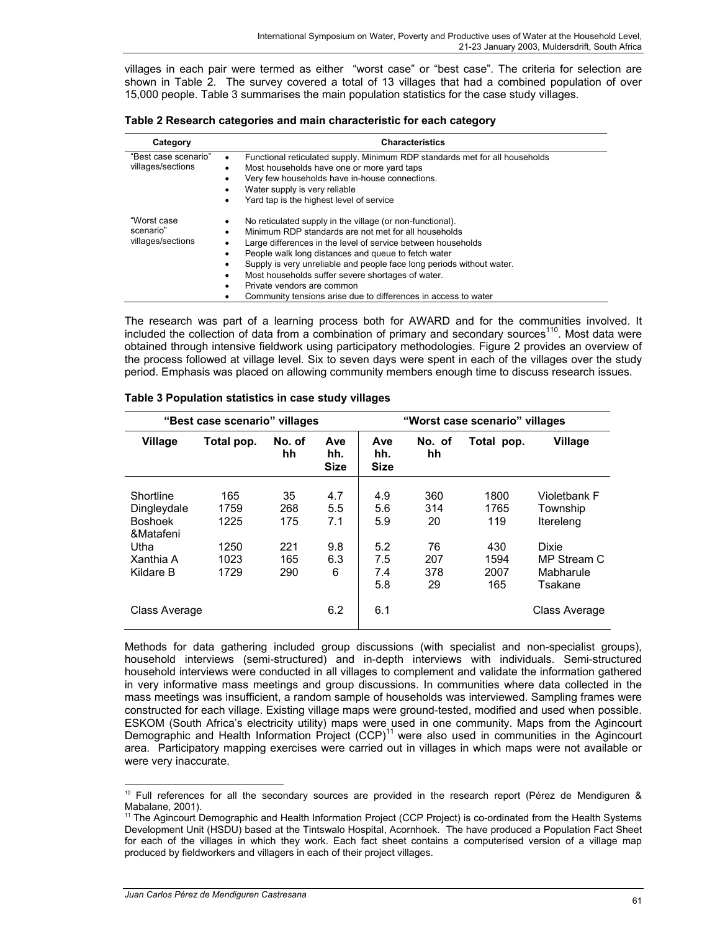villages in each pair were termed as either "worst case" or "best case". The criteria for selection are shown in Table 2. The survey covered a total of 13 villages that had a combined population of over 15,000 people. Table 3 summarises the main population statistics for the case study villages.

| Table 2 Research categories and main characteristic for each category |  |  |  |  |
|-----------------------------------------------------------------------|--|--|--|--|
|-----------------------------------------------------------------------|--|--|--|--|

| Category                                      | <b>Characteristics</b>                                                                                                                                                                                                                                                                                                                                                                                                                                                           |
|-----------------------------------------------|----------------------------------------------------------------------------------------------------------------------------------------------------------------------------------------------------------------------------------------------------------------------------------------------------------------------------------------------------------------------------------------------------------------------------------------------------------------------------------|
| "Best case scenario"<br>villages/sections     | Functional reticulated supply. Minimum RDP standards met for all households<br>$\bullet$<br>Most households have one or more yard taps<br>Very few households have in-house connections.<br>Water supply is very reliable<br>Yard tap is the highest level of service<br>٠                                                                                                                                                                                                       |
| "Worst case<br>scenario"<br>villages/sections | No reticulated supply in the village (or non-functional).<br>٠<br>Minimum RDP standards are not met for all households<br>٠<br>Large differences in the level of service between households<br>People walk long distances and queue to fetch water<br>Supply is very unreliable and people face long periods without water.<br>Most households suffer severe shortages of water.<br>Private vendors are common<br>Community tensions arise due to differences in access to water |

The research was part of a learning process both for AWARD and for the communities involved. It included the collection of data from a combination of primary and secondary sources<sup>110</sup>. Most data were obtained through intensive fieldwork using participatory methodologies. Figure 2 provides an overview of the process followed at village level. Six to seven days were spent in each of the villages over the study period. Emphasis was placed on allowing community members enough time to discuss research issues.

| "Best case scenario" villages                                                             |                                             |                                       |                                      | "Worst case scenario" villages                |                                            |                                                   |                                                                                              |
|-------------------------------------------------------------------------------------------|---------------------------------------------|---------------------------------------|--------------------------------------|-----------------------------------------------|--------------------------------------------|---------------------------------------------------|----------------------------------------------------------------------------------------------|
| <b>Village</b>                                                                            | Total pop.                                  | No. of<br>hh                          | Ave<br>hh.<br><b>Size</b>            | Ave<br>hh.<br><b>Size</b>                     | No. of<br>hh                               | Total pop.                                        | <b>Village</b>                                                                               |
| Shortline<br>Dingleydale<br><b>Boshoek</b><br>&Matafeni<br>Utha<br>Xanthia A<br>Kildare B | 165<br>1759<br>1225<br>1250<br>1023<br>1729 | 35<br>268<br>175<br>221<br>165<br>290 | 4.7<br>5.5<br>7.1<br>9.8<br>6.3<br>6 | 4.9<br>5.6<br>5.9<br>5.2<br>7.5<br>7.4<br>5.8 | 360<br>314<br>20<br>76<br>207<br>378<br>29 | 1800<br>1765<br>119<br>430<br>1594<br>2007<br>165 | Violetbank F<br>Township<br>Itereleng<br><b>Dixie</b><br>MP Stream C<br>Mabharule<br>Tsakane |
| Class Average                                                                             |                                             |                                       | 6.2                                  | 6.1                                           |                                            |                                                   | Class Average                                                                                |

#### **Table 3 Population statistics in case study villages**

Methods for data gathering included group discussions (with specialist and non-specialist groups), household interviews (semi-structured) and in-depth interviews with individuals. Semi-structured household interviews were conducted in all villages to complement and validate the information gathered in very informative mass meetings and group discussions. In communities where data collected in the mass meetings was insufficient, a random sample of households was interviewed. Sampling frames were constructed for each village. Existing village maps were ground-tested, modified and used when possible. ESKOM (South Africa's electricity utility) maps were used in one community. Maps from the Agincourt Demographic and Health Information Project  $(CCP)^{11}$  were also used in communities in the Agincourt area. Participatory mapping exercises were carried out in villages in which maps were not available or were very inaccurate.

 $\overline{a}$  $10$  Full references for all the secondary sources are provided in the research report (Pérez de Mendiguren  $\&$ Mabalane, 2001).

<sup>&</sup>lt;sup>11</sup> The Agincourt Demographic and Health Information Project (CCP Project) is co-ordinated from the Health Systems Development Unit (HSDU) based at the Tintswalo Hospital, Acornhoek. The have produced a Population Fact Sheet for each of the villages in which they work. Each fact sheet contains a computerised version of a village map produced by fieldworkers and villagers in each of their project villages.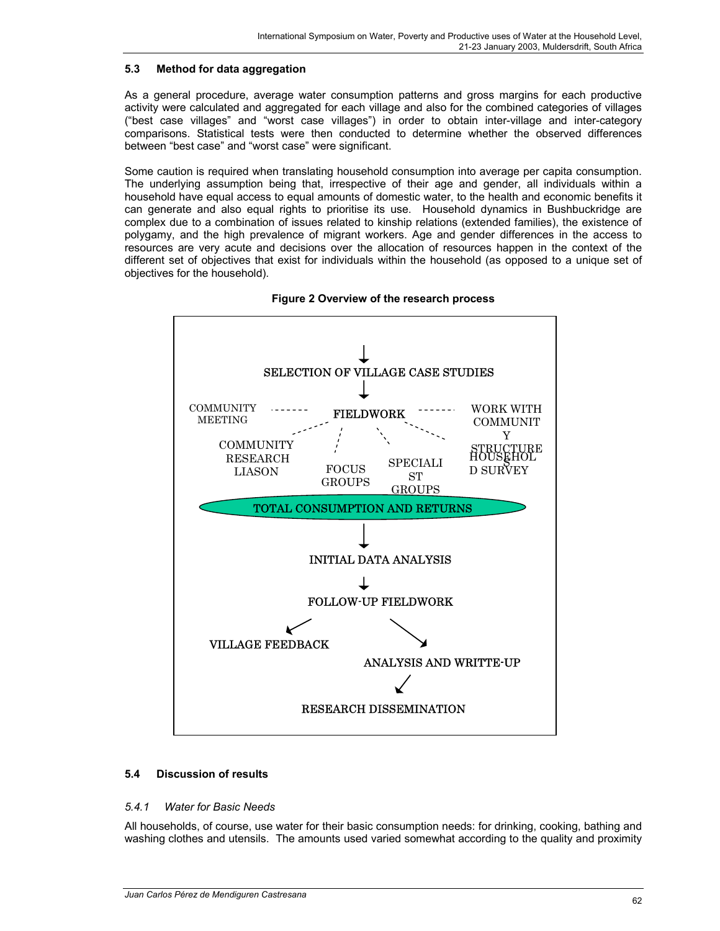## **5.3 Method for data aggregation**

As a general procedure, average water consumption patterns and gross margins for each productive activity were calculated and aggregated for each village and also for the combined categories of villages ("best case villages" and "worst case villages") in order to obtain inter-village and inter-category comparisons. Statistical tests were then conducted to determine whether the observed differences between "best case" and "worst case" were significant.

Some caution is required when translating household consumption into average per capita consumption. The underlying assumption being that, irrespective of their age and gender, all individuals within a household have equal access to equal amounts of domestic water, to the health and economic benefits it can generate and also equal rights to prioritise its use. Household dynamics in Bushbuckridge are complex due to a combination of issues related to kinship relations (extended families), the existence of polygamy, and the high prevalence of migrant workers. Age and gender differences in the access to resources are very acute and decisions over the allocation of resources happen in the context of the different set of objectives that exist for individuals within the household (as opposed to a unique set of objectives for the household).





## **5.4 Discussion of results**

### *5.4.1 Water for Basic Needs*

All households, of course, use water for their basic consumption needs: for drinking, cooking, bathing and washing clothes and utensils. The amounts used varied somewhat according to the quality and proximity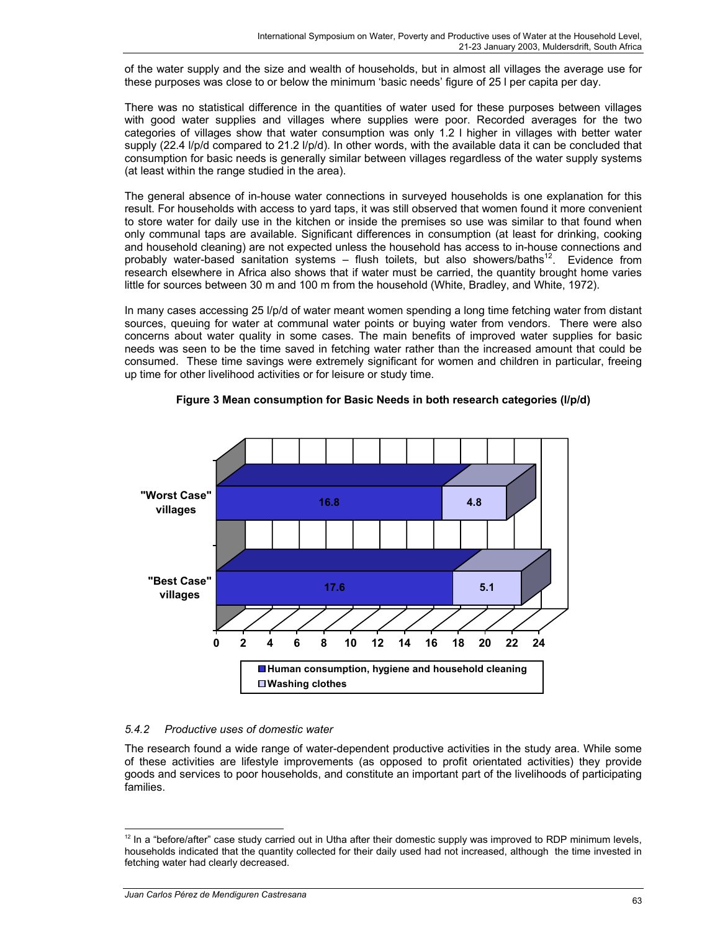of the water supply and the size and wealth of households, but in almost all villages the average use for these purposes was close to or below the minimum 'basic needs' figure of 25 l per capita per day.

There was no statistical difference in the quantities of water used for these purposes between villages with good water supplies and villages where supplies were poor. Recorded averages for the two categories of villages show that water consumption was only 1.2 l higher in villages with better water supply (22.4 l/p/d compared to 21.2 l/p/d). In other words, with the available data it can be concluded that consumption for basic needs is generally similar between villages regardless of the water supply systems (at least within the range studied in the area).

The general absence of in-house water connections in surveyed households is one explanation for this result. For households with access to yard taps, it was still observed that women found it more convenient to store water for daily use in the kitchen or inside the premises so use was similar to that found when only communal taps are available. Significant differences in consumption (at least for drinking, cooking and household cleaning) are not expected unless the household has access to in-house connections and probably water-based sanitation systems – flush toilets, but also showers/baths<sup>12</sup>. Evidence from research elsewhere in Africa also shows that if water must be carried, the quantity brought home varies little for sources between 30 m and 100 m from the household (White, Bradley, and White, 1972).

In many cases accessing 25 l/p/d of water meant women spending a long time fetching water from distant sources, queuing for water at communal water points or buying water from vendors. There were also concerns about water quality in some cases. The main benefits of improved water supplies for basic needs was seen to be the time saved in fetching water rather than the increased amount that could be consumed. These time savings were extremely significant for women and children in particular, freeing up time for other livelihood activities or for leisure or study time.



**Figure 3 Mean consumption for Basic Needs in both research categories (l/p/d)**

# *5.4.2 Productive uses of domestic water*

The research found a wide range of water-dependent productive activities in the study area. While some of these activities are lifestyle improvements (as opposed to profit orientated activities) they provide goods and services to poor households, and constitute an important part of the livelihoods of participating families.

 $\overline{a}$ 

 $12$  In a "before/after" case study carried out in Utha after their domestic supply was improved to RDP minimum levels, households indicated that the quantity collected for their daily used had not increased, although the time invested in fetching water had clearly decreased.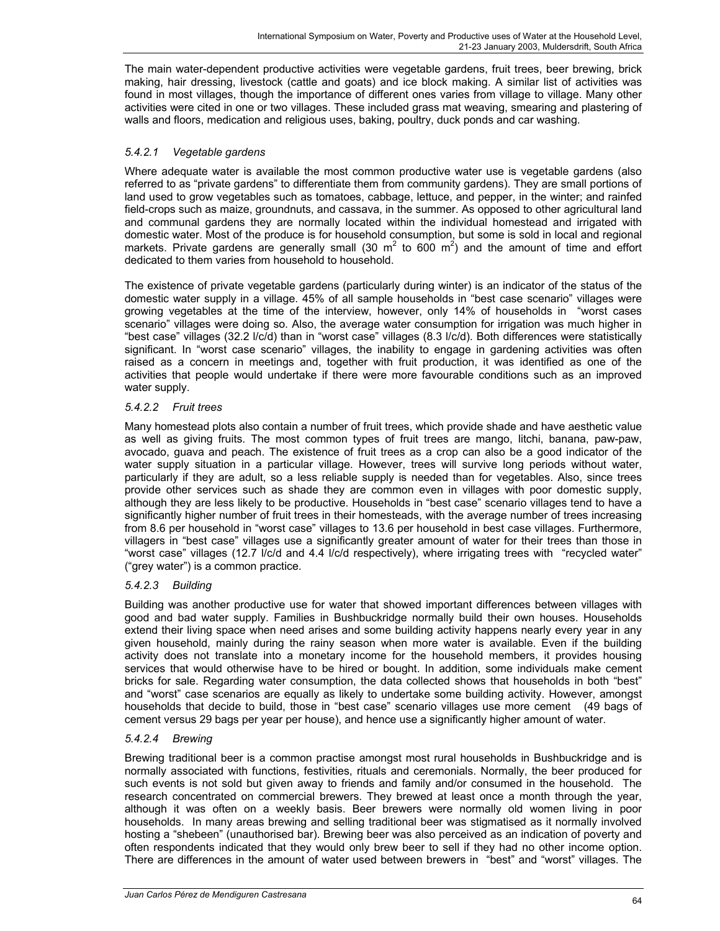The main water-dependent productive activities were vegetable gardens, fruit trees, beer brewing, brick making, hair dressing, livestock (cattle and goats) and ice block making. A similar list of activities was found in most villages, though the importance of different ones varies from village to village. Many other activities were cited in one or two villages. These included grass mat weaving, smearing and plastering of walls and floors, medication and religious uses, baking, poultry, duck ponds and car washing.

## *5.4.2.1 Vegetable gardens*

Where adequate water is available the most common productive water use is vegetable gardens (also referred to as "private gardens" to differentiate them from community gardens). They are small portions of land used to grow vegetables such as tomatoes, cabbage, lettuce, and pepper, in the winter; and rainfed field-crops such as maize, groundnuts, and cassava, in the summer. As opposed to other agricultural land and communal gardens they are normally located within the individual homestead and irrigated with domestic water. Most of the produce is for household consumption, but some is sold in local and regional markets. Private gardens are generally small (30  $m^2$  to 600  $m^2$ ) and the amount of time and effort dedicated to them varies from household to household.

The existence of private vegetable gardens (particularly during winter) is an indicator of the status of the domestic water supply in a village. 45% of all sample households in "best case scenario" villages were growing vegetables at the time of the interview, however, only 14% of households in "worst cases scenario" villages were doing so. Also, the average water consumption for irrigation was much higher in "best case" villages (32.2 l/c/d) than in "worst case" villages (8.3 l/c/d). Both differences were statistically significant. In "worst case scenario" villages, the inability to engage in gardening activities was often raised as a concern in meetings and, together with fruit production, it was identified as one of the activities that people would undertake if there were more favourable conditions such as an improved water supply.

## *5.4.2.2 Fruit trees*

Many homestead plots also contain a number of fruit trees, which provide shade and have aesthetic value as well as giving fruits. The most common types of fruit trees are mango, litchi, banana, paw-paw, avocado, guava and peach. The existence of fruit trees as a crop can also be a good indicator of the water supply situation in a particular village. However, trees will survive long periods without water, particularly if they are adult, so a less reliable supply is needed than for vegetables. Also, since trees provide other services such as shade they are common even in villages with poor domestic supply, although they are less likely to be productive. Households in "best case" scenario villages tend to have a significantly higher number of fruit trees in their homesteads, with the average number of trees increasing from 8.6 per household in "worst case" villages to 13.6 per household in best case villages. Furthermore, villagers in "best case" villages use a significantly greater amount of water for their trees than those in "worst case" villages (12.7 l/c/d and 4.4 l/c/d respectively), where irrigating trees with "recycled water" ("grey water") is a common practice.

## *5.4.2.3 Building*

Building was another productive use for water that showed important differences between villages with good and bad water supply. Families in Bushbuckridge normally build their own houses. Households extend their living space when need arises and some building activity happens nearly every year in any given household, mainly during the rainy season when more water is available. Even if the building activity does not translate into a monetary income for the household members, it provides housing services that would otherwise have to be hired or bought. In addition, some individuals make cement bricks for sale. Regarding water consumption, the data collected shows that households in both "best" and "worst" case scenarios are equally as likely to undertake some building activity. However, amongst households that decide to build, those in "best case" scenario villages use more cement (49 bags of cement versus 29 bags per year per house), and hence use a significantly higher amount of water.

## *5.4.2.4 Brewing*

Brewing traditional beer is a common practise amongst most rural households in Bushbuckridge and is normally associated with functions, festivities, rituals and ceremonials. Normally, the beer produced for such events is not sold but given away to friends and family and/or consumed in the household. The research concentrated on commercial brewers. They brewed at least once a month through the year, although it was often on a weekly basis. Beer brewers were normally old women living in poor households. In many areas brewing and selling traditional beer was stigmatised as it normally involved hosting a "shebeen" (unauthorised bar). Brewing beer was also perceived as an indication of poverty and often respondents indicated that they would only brew beer to sell if they had no other income option. There are differences in the amount of water used between brewers in "best" and "worst" villages. The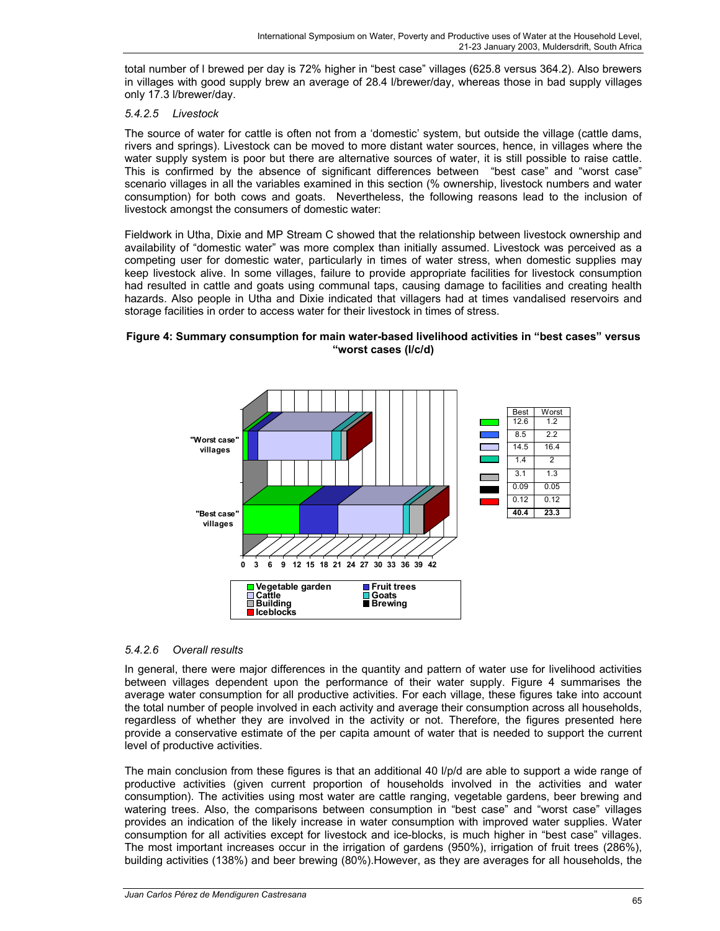total number of l brewed per day is 72% higher in "best case" villages (625.8 versus 364.2). Also brewers in villages with good supply brew an average of 28.4 l/brewer/day, whereas those in bad supply villages only 17.3 l/brewer/day.

## *5.4.2.5 Livestock*

The source of water for cattle is often not from a 'domestic' system, but outside the village (cattle dams, rivers and springs). Livestock can be moved to more distant water sources, hence, in villages where the water supply system is poor but there are alternative sources of water, it is still possible to raise cattle. This is confirmed by the absence of significant differences between "best case" and "worst case" scenario villages in all the variables examined in this section (% ownership, livestock numbers and water consumption) for both cows and goats. Nevertheless, the following reasons lead to the inclusion of livestock amongst the consumers of domestic water:

Fieldwork in Utha, Dixie and MP Stream C showed that the relationship between livestock ownership and availability of "domestic water" was more complex than initially assumed. Livestock was perceived as a competing user for domestic water, particularly in times of water stress, when domestic supplies may keep livestock alive. In some villages, failure to provide appropriate facilities for livestock consumption had resulted in cattle and goats using communal taps, causing damage to facilities and creating health hazards. Also people in Utha and Dixie indicated that villagers had at times vandalised reservoirs and storage facilities in order to access water for their livestock in times of stress.

## **Figure 4: Summary consumption for main water-based livelihood activities in "best cases" versus "worst cases (l/c/d)**



# *5.4.2.6 Overall results*

In general, there were major differences in the quantity and pattern of water use for livelihood activities between villages dependent upon the performance of their water supply. Figure 4 summarises the average water consumption for all productive activities. For each village, these figures take into account the total number of people involved in each activity and average their consumption across all households, regardless of whether they are involved in the activity or not. Therefore, the figures presented here provide a conservative estimate of the per capita amount of water that is needed to support the current level of productive activities.

The main conclusion from these figures is that an additional 40 l/p/d are able to support a wide range of productive activities (given current proportion of households involved in the activities and water consumption). The activities using most water are cattle ranging, vegetable gardens, beer brewing and watering trees. Also, the comparisons between consumption in "best case" and "worst case" villages provides an indication of the likely increase in water consumption with improved water supplies. Water consumption for all activities except for livestock and ice-blocks, is much higher in "best case" villages. The most important increases occur in the irrigation of gardens (950%), irrigation of fruit trees (286%), building activities (138%) and beer brewing (80%).However, as they are averages for all households, the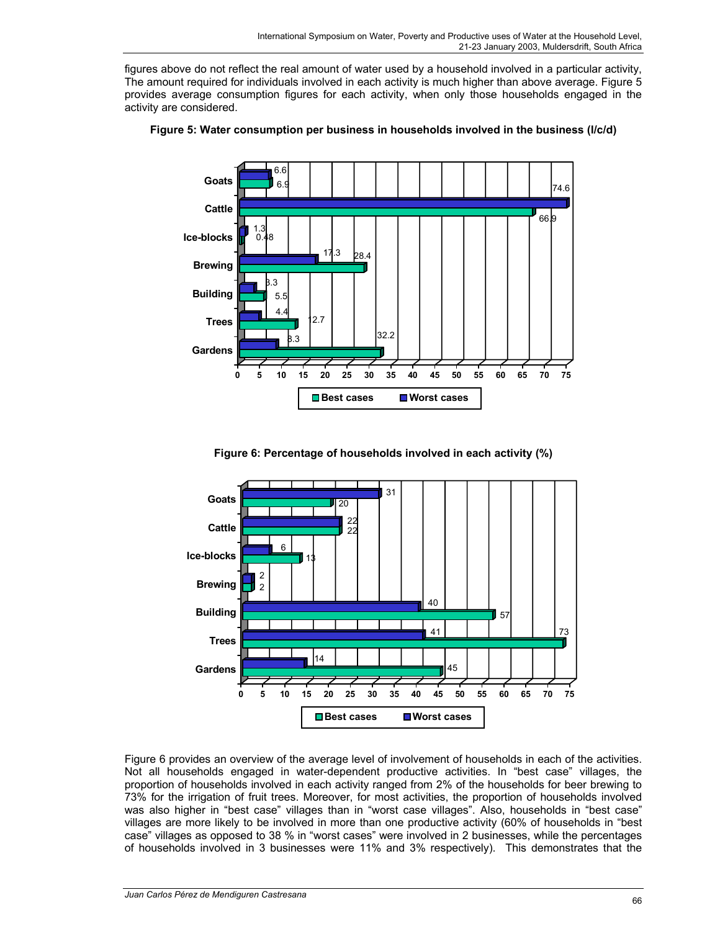figures above do not reflect the real amount of water used by a household involved in a particular activity, The amount required for individuals involved in each activity is much higher than above average. Figure 5 provides average consumption figures for each activity, when only those households engaged in the activity are considered.



**Figure 5: Water consumption per business in households involved in the business (l/c/d)** 





Figure 6 provides an overview of the average level of involvement of households in each of the activities. Not all households engaged in water-dependent productive activities. In "best case" villages, the proportion of households involved in each activity ranged from 2% of the households for beer brewing to 73% for the irrigation of fruit trees. Moreover, for most activities, the proportion of households involved was also higher in "best case" villages than in "worst case villages". Also, households in "best case" villages are more likely to be involved in more than one productive activity (60% of households in "best case" villages as opposed to 38 % in "worst cases" were involved in 2 businesses, while the percentages of households involved in 3 businesses were 11% and 3% respectively). This demonstrates that the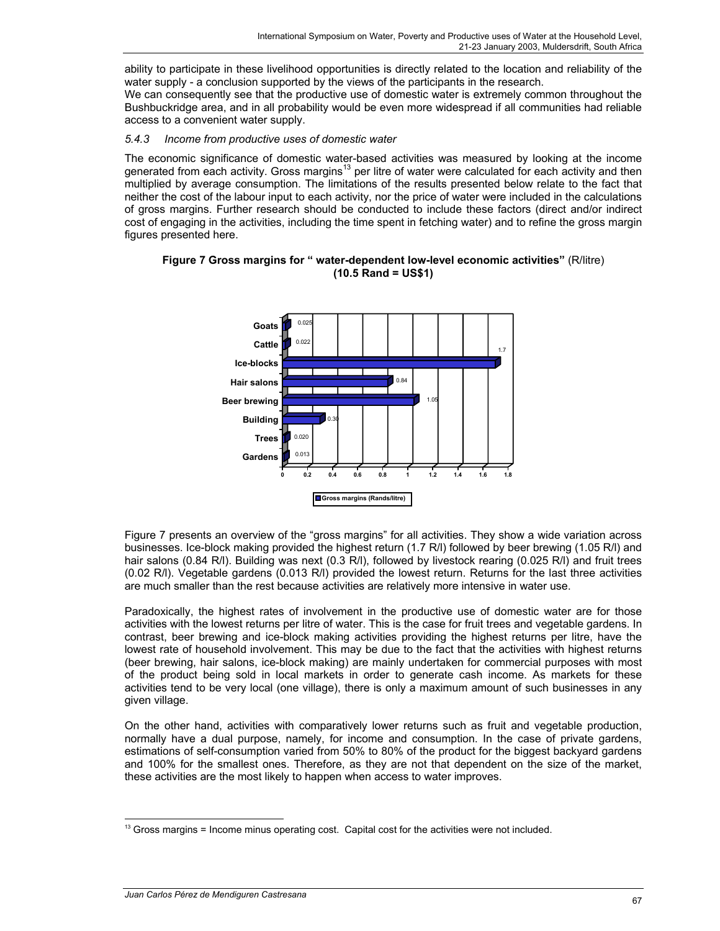ability to participate in these livelihood opportunities is directly related to the location and reliability of the water supply - a conclusion supported by the views of the participants in the research. We can consequently see that the productive use of domestic water is extremely common throughout the Bushbuckridge area, and in all probability would be even more widespread if all communities had reliable access to a convenient water supply.

## *5.4.3 Income from productive uses of domestic water*

The economic significance of domestic water-based activities was measured by looking at the income generated from each activity. Gross margins<sup>13</sup> per litre of water were calculated for each activity and then multiplied by average consumption. The limitations of the results presented below relate to the fact that neither the cost of the labour input to each activity, nor the price of water were included in the calculations of gross margins. Further research should be conducted to include these factors (direct and/or indirect cost of engaging in the activities, including the time spent in fetching water) and to refine the gross margin figures presented here.

**Figure 7 Gross margins for " water-dependent low-level economic activities"** (R/litre) **(10.5 Rand = US\$1)**



Figure 7 presents an overview of the "gross margins" for all activities. They show a wide variation across businesses. Ice-block making provided the highest return (1.7 R/l) followed by beer brewing (1.05 R/l) and hair salons (0.84 R/l). Building was next (0.3 R/l), followed by livestock rearing (0.025 R/l) and fruit trees (0.02 R/l). Vegetable gardens (0.013 R/l) provided the lowest return. Returns for the last three activities are much smaller than the rest because activities are relatively more intensive in water use.

Paradoxically, the highest rates of involvement in the productive use of domestic water are for those activities with the lowest returns per litre of water. This is the case for fruit trees and vegetable gardens. In contrast, beer brewing and ice-block making activities providing the highest returns per litre, have the lowest rate of household involvement. This may be due to the fact that the activities with highest returns (beer brewing, hair salons, ice-block making) are mainly undertaken for commercial purposes with most of the product being sold in local markets in order to generate cash income. As markets for these activities tend to be very local (one village), there is only a maximum amount of such businesses in any given village.

On the other hand, activities with comparatively lower returns such as fruit and vegetable production, normally have a dual purpose, namely, for income and consumption. In the case of private gardens, estimations of self-consumption varied from 50% to 80% of the product for the biggest backyard gardens and 100% for the smallest ones. Therefore, as they are not that dependent on the size of the market, these activities are the most likely to happen when access to water improves.

 $\overline{a}$ <sup>13</sup> Gross margins = Income minus operating cost. Capital cost for the activities were not included.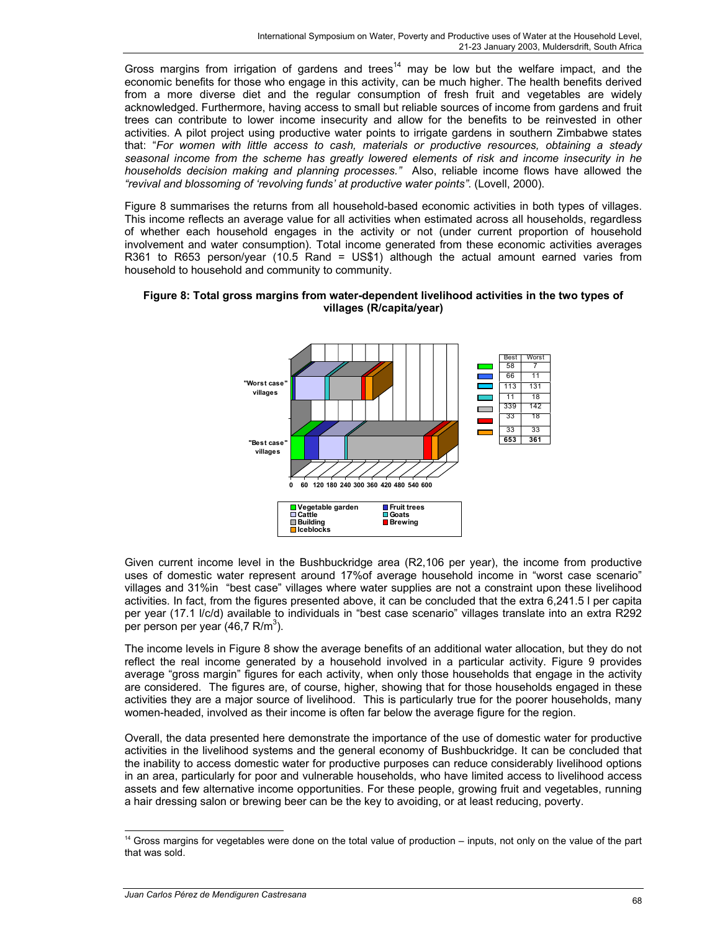Gross margins from irrigation of gardens and trees<sup>14</sup> may be low but the welfare impact, and the economic benefits for those who engage in this activity, can be much higher. The health benefits derived from a more diverse diet and the regular consumption of fresh fruit and vegetables are widely acknowledged. Furthermore, having access to small but reliable sources of income from gardens and fruit trees can contribute to lower income insecurity and allow for the benefits to be reinvested in other activities. A pilot project using productive water points to irrigate gardens in southern Zimbabwe states that: "*For women with little access to cash, materials or productive resources, obtaining a steady seasonal income from the scheme has greatly lowered elements of risk and income insecurity in he households decision making and planning processes."* Also, reliable income flows have allowed the *"revival and blossoming of 'revolving funds' at productive water points"*. (Lovell, 2000).

Figure 8 summarises the returns from all household-based economic activities in both types of villages. This income reflects an average value for all activities when estimated across all households, regardless of whether each household engages in the activity or not (under current proportion of household involvement and water consumption). Total income generated from these economic activities averages R361 to R653 person/year (10.5 Rand = US\$1) although the actual amount earned varies from household to household and community to community.



## **Figure 8: Total gross margins from water-dependent livelihood activities in the two types of villages (R/capita/year)**

Given current income level in the Bushbuckridge area (R2,106 per year), the income from productive uses of domestic water represent around 17%of average household income in "worst case scenario" villages and 31%in "best case" villages where water supplies are not a constraint upon these livelihood activities. In fact, from the figures presented above, it can be concluded that the extra 6,241.5 l per capita per year (17.1 l/c/d) available to individuals in "best case scenario" villages translate into an extra R292 per person per year  $(46, 7 \text{ R/m}^3)$ .

The income levels in Figure 8 show the average benefits of an additional water allocation, but they do not reflect the real income generated by a household involved in a particular activity. Figure 9 provides average "gross margin" figures for each activity, when only those households that engage in the activity are considered. The figures are, of course, higher, showing that for those households engaged in these activities they are a major source of livelihood. This is particularly true for the poorer households, many women-headed, involved as their income is often far below the average figure for the region.

Overall, the data presented here demonstrate the importance of the use of domestic water for productive activities in the livelihood systems and the general economy of Bushbuckridge. It can be concluded that the inability to access domestic water for productive purposes can reduce considerably livelihood options in an area, particularly for poor and vulnerable households, who have limited access to livelihood access assets and few alternative income opportunities. For these people, growing fruit and vegetables, running a hair dressing salon or brewing beer can be the key to avoiding, or at least reducing, poverty.

 $\overline{a}$  $14$  Gross margins for vegetables were done on the total value of production  $-$  inputs, not only on the value of the part that was sold.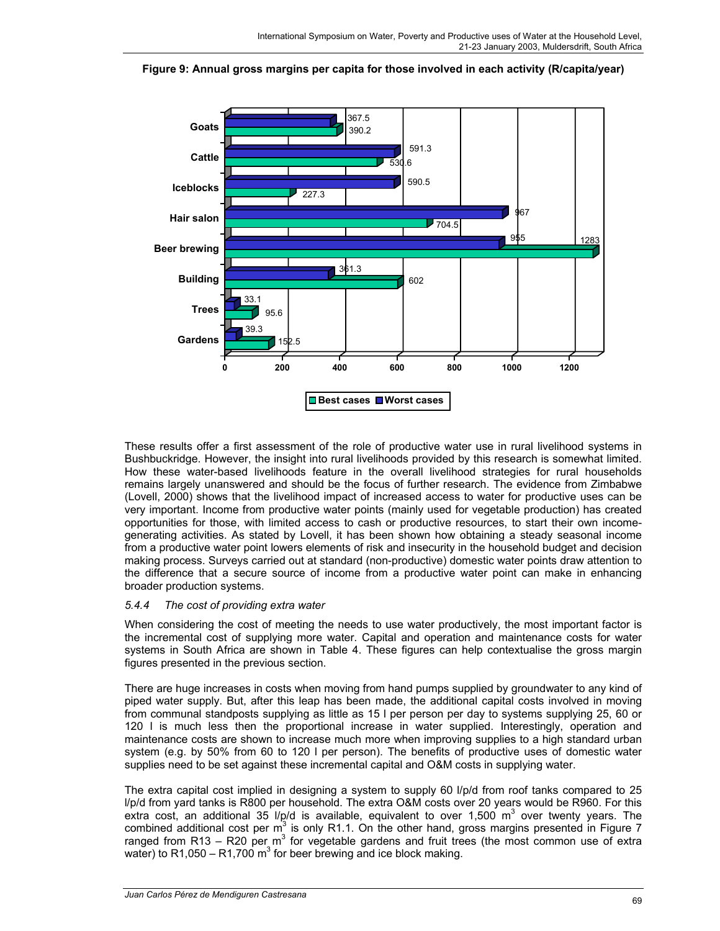

**Figure 9: Annual gross margins per capita for those involved in each activity (R/capita/year)** 

These results offer a first assessment of the role of productive water use in rural livelihood systems in Bushbuckridge. However, the insight into rural livelihoods provided by this research is somewhat limited. How these water-based livelihoods feature in the overall livelihood strategies for rural households remains largely unanswered and should be the focus of further research. The evidence from Zimbabwe (Lovell, 2000) shows that the livelihood impact of increased access to water for productive uses can be very important. Income from productive water points (mainly used for vegetable production) has created opportunities for those, with limited access to cash or productive resources, to start their own incomegenerating activities. As stated by Lovell, it has been shown how obtaining a steady seasonal income from a productive water point lowers elements of risk and insecurity in the household budget and decision making process. Surveys carried out at standard (non-productive) domestic water points draw attention to the difference that a secure source of income from a productive water point can make in enhancing broader production systems.

## *5.4.4 The cost of providing extra water*

When considering the cost of meeting the needs to use water productively, the most important factor is the incremental cost of supplying more water. Capital and operation and maintenance costs for water systems in South Africa are shown in Table 4. These figures can help contextualise the gross margin figures presented in the previous section.

There are huge increases in costs when moving from hand pumps supplied by groundwater to any kind of piped water supply. But, after this leap has been made, the additional capital costs involved in moving from communal standposts supplying as little as 15 l per person per day to systems supplying 25, 60 or 120 l is much less then the proportional increase in water supplied. Interestingly, operation and maintenance costs are shown to increase much more when improving supplies to a high standard urban system (e.g. by 50% from 60 to 120 l per person). The benefits of productive uses of domestic water supplies need to be set against these incremental capital and O&M costs in supplying water.

The extra capital cost implied in designing a system to supply 60 l/p/d from roof tanks compared to 25 l/p/d from yard tanks is R800 per household. The extra O&M costs over 20 years would be R960. For this extra cost, an additional 35  $1/p/d$  is available, equivalent to over 1,500 m<sup>3</sup> over twenty years. The combined additional cost per  $m^3$  is only R1.1. On the other hand, gross margins presented in Figure 7 ranged from R13 - R20 per m<sup>3</sup> for vegetable gardens and fruit trees (the most common use of extra water) to R1,050 – R1,700  $\text{m}^3$  for beer brewing and ice block making.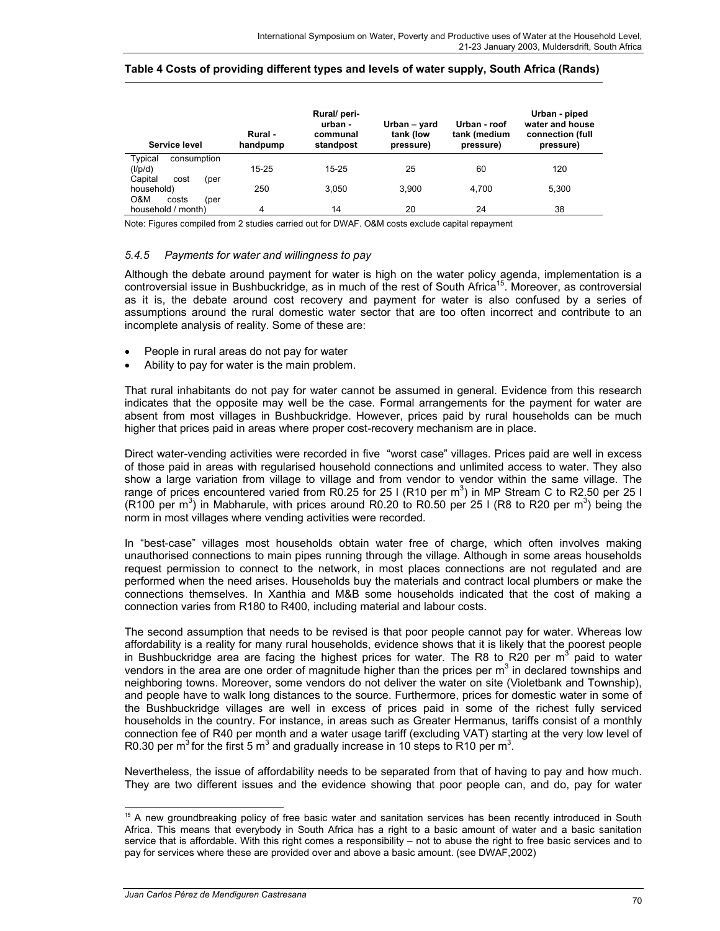#### **Table 4 Costs of providing different types and levels of water supply, South Africa (Rands)**

| Service level           | Rural -<br>handpump | Rural/ peri-<br>urban -<br>communal<br>standpost | Urban – yard<br>tank (low<br>pressure) | Urban - roof<br>tank (medium<br>pressure) | Urban - piped<br>water and house<br>connection (full<br>pressure) |
|-------------------------|---------------------|--------------------------------------------------|----------------------------------------|-------------------------------------------|-------------------------------------------------------------------|
| Typical<br>consumption  |                     |                                                  |                                        |                                           |                                                                   |
| (I/p/d)                 | $15 - 25$           | $15 - 25$                                        | 25                                     | 60                                        | 120                                                               |
| Capital<br>cost<br>(per |                     |                                                  |                                        |                                           |                                                                   |
| household)              | 250                 | 3.050                                            | 3.900                                  | 4.700                                     | 5,300                                                             |
| O&M<br>costs<br>(per    |                     |                                                  |                                        |                                           |                                                                   |
| household / month)      | 4                   | 14                                               | 20                                     | 24                                        | 38                                                                |

Note: Figures compiled from 2 studies carried out for DWAF. O&M costs exclude capital repayment

### *5.4.5 Payments for water and willingness to pay*

Although the debate around payment for water is high on the water policy agenda, implementation is a controversial issue in Bushbuckridge, as in much of the rest of South Africa<sup>15</sup>. Moreover, as controversial as it is, the debate around cost recovery and payment for water is also confused by a series of assumptions around the rural domestic water sector that are too often incorrect and contribute to an incomplete analysis of reality. Some of these are:

- People in rural areas do not pay for water
- Ability to pay for water is the main problem.

That rural inhabitants do not pay for water cannot be assumed in general. Evidence from this research indicates that the opposite may well be the case. Formal arrangements for the payment for water are absent from most villages in Bushbuckridge. However, prices paid by rural households can be much higher that prices paid in areas where proper cost-recovery mechanism are in place.

Direct water-vending activities were recorded in five "worst case" villages. Prices paid are well in excess of those paid in areas with regularised household connections and unlimited access to water. They also show a large variation from village to village and from vendor to vendor within the same village. The range of prices encountered varied from R0.25 for 25 I (R10 per m<sup>3</sup>) in MP Stream C to R2.50 per 25 I (R100 per m<sup>3</sup>) in Mabharule, with prices around R0.20 to R0.50 per 25 I (R8 to R20 per m<sup>3</sup>) being the norm in most villages where vending activities were recorded.

In "best-case" villages most households obtain water free of charge, which often involves making unauthorised connections to main pipes running through the village. Although in some areas households request permission to connect to the network, in most places connections are not regulated and are performed when the need arises. Households buy the materials and contract local plumbers or make the connections themselves. In Xanthia and M&B some households indicated that the cost of making a connection varies from R180 to R400, including material and labour costs.

The second assumption that needs to be revised is that poor people cannot pay for water. Whereas low affordability is a reality for many rural households, evidence shows that it is likely that the poorest people in Bushbuckridge area are facing the highest prices for water. The R8 to R20 per m<sup>3</sup> paid to water vendors in the area are one order of magnitude higher than the prices per  $m<sup>3</sup>$  in declared townships and neighboring towns. Moreover, some vendors do not deliver the water on site (Violetbank and Township), and people have to walk long distances to the source. Furthermore, prices for domestic water in some of the Bushbuckridge villages are well in excess of prices paid in some of the richest fully serviced households in the country. For instance, in areas such as Greater Hermanus, tariffs consist of a monthly connection fee of R40 per month and a water usage tariff (excluding VAT) starting at the very low level of R0.30 per m<sup>3</sup> for the first 5 m<sup>3</sup> and gradually increase in 10 steps to R10 per m<sup>3</sup>.

Nevertheless, the issue of affordability needs to be separated from that of having to pay and how much. They are two different issues and the evidence showing that poor people can, and do, pay for water

 $\overline{a}$ 

<sup>&</sup>lt;sup>15</sup> A new groundbreaking policy of free basic water and sanitation services has been recently introduced in South Africa. This means that everybody in South Africa has a right to a basic amount of water and a basic sanitation service that is affordable. With this right comes a responsibility – not to abuse the right to free basic services and to pay for services where these are provided over and above a basic amount. (see DWAF,2002)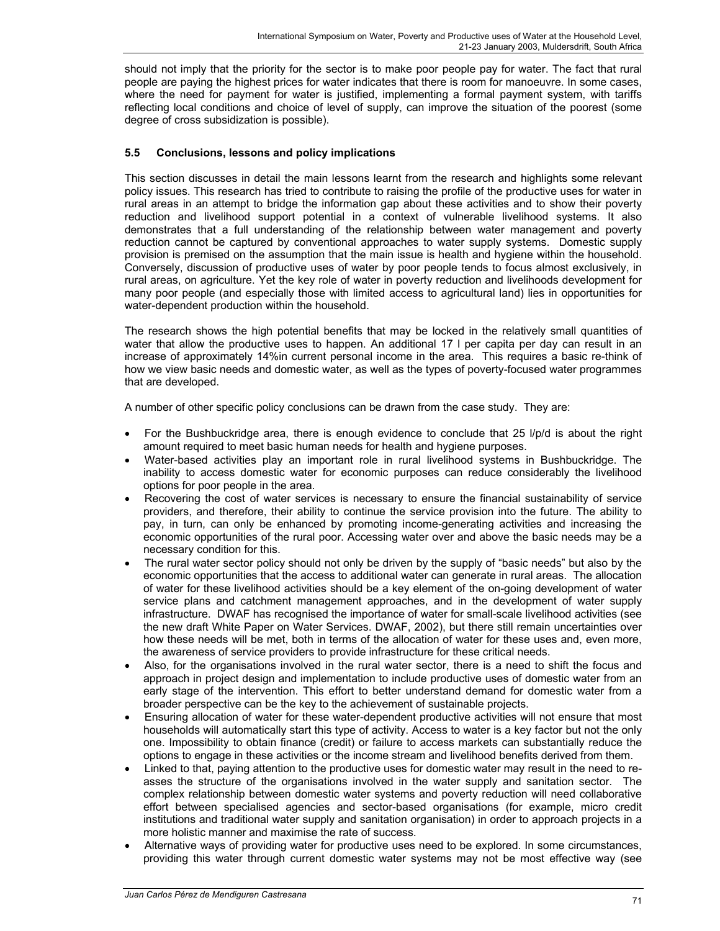should not imply that the priority for the sector is to make poor people pay for water. The fact that rural people are paying the highest prices for water indicates that there is room for manoeuvre. In some cases, where the need for payment for water is justified, implementing a formal payment system, with tariffs reflecting local conditions and choice of level of supply, can improve the situation of the poorest (some degree of cross subsidization is possible).

# **5.5 Conclusions, lessons and policy implications**

This section discusses in detail the main lessons learnt from the research and highlights some relevant policy issues. This research has tried to contribute to raising the profile of the productive uses for water in rural areas in an attempt to bridge the information gap about these activities and to show their poverty reduction and livelihood support potential in a context of vulnerable livelihood systems. It also demonstrates that a full understanding of the relationship between water management and poverty reduction cannot be captured by conventional approaches to water supply systems. Domestic supply provision is premised on the assumption that the main issue is health and hygiene within the household. Conversely, discussion of productive uses of water by poor people tends to focus almost exclusively, in rural areas, on agriculture. Yet the key role of water in poverty reduction and livelihoods development for many poor people (and especially those with limited access to agricultural land) lies in opportunities for water-dependent production within the household.

The research shows the high potential benefits that may be locked in the relatively small quantities of water that allow the productive uses to happen. An additional 17 I per capita per day can result in an increase of approximately 14%in current personal income in the area. This requires a basic re-think of how we view basic needs and domestic water, as well as the types of poverty-focused water programmes that are developed.

A number of other specific policy conclusions can be drawn from the case study. They are:

- For the Bushbuckridge area, there is enough evidence to conclude that 25 l/p/d is about the right amount required to meet basic human needs for health and hygiene purposes.
- Water-based activities play an important role in rural livelihood systems in Bushbuckridge. The inability to access domestic water for economic purposes can reduce considerably the livelihood options for poor people in the area.
- Recovering the cost of water services is necessary to ensure the financial sustainability of service providers, and therefore, their ability to continue the service provision into the future. The ability to pay, in turn, can only be enhanced by promoting income-generating activities and increasing the economic opportunities of the rural poor. Accessing water over and above the basic needs may be a necessary condition for this.
- The rural water sector policy should not only be driven by the supply of "basic needs" but also by the economic opportunities that the access to additional water can generate in rural areas. The allocation of water for these livelihood activities should be a key element of the on-going development of water service plans and catchment management approaches, and in the development of water supply infrastructure. DWAF has recognised the importance of water for small-scale livelihood activities (see the new draft White Paper on Water Services. DWAF, 2002), but there still remain uncertainties over how these needs will be met, both in terms of the allocation of water for these uses and, even more, the awareness of service providers to provide infrastructure for these critical needs.
- Also, for the organisations involved in the rural water sector, there is a need to shift the focus and approach in project design and implementation to include productive uses of domestic water from an early stage of the intervention. This effort to better understand demand for domestic water from a broader perspective can be the key to the achievement of sustainable projects.
- Ensuring allocation of water for these water-dependent productive activities will not ensure that most households will automatically start this type of activity. Access to water is a key factor but not the only one. Impossibility to obtain finance (credit) or failure to access markets can substantially reduce the options to engage in these activities or the income stream and livelihood benefits derived from them.
- Linked to that, paying attention to the productive uses for domestic water may result in the need to reasses the structure of the organisations involved in the water supply and sanitation sector. The complex relationship between domestic water systems and poverty reduction will need collaborative effort between specialised agencies and sector-based organisations (for example, micro credit institutions and traditional water supply and sanitation organisation) in order to approach projects in a more holistic manner and maximise the rate of success.
- Alternative ways of providing water for productive uses need to be explored. In some circumstances, providing this water through current domestic water systems may not be most effective way (see